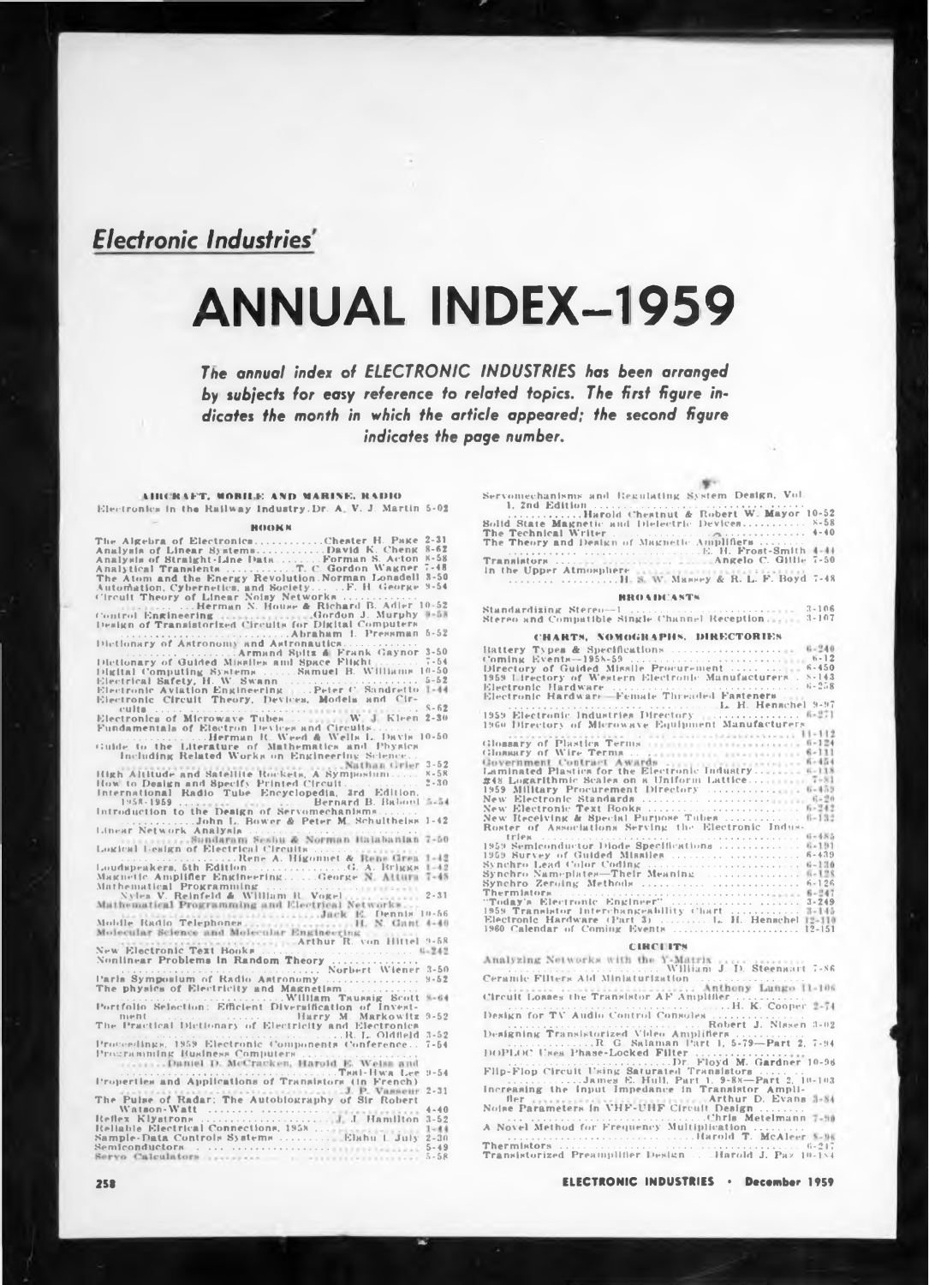# *Electronic Industries*

# **ANNUAL INDEX-1959**

*The annual index of ELECTRONIC INDUSTRIES has been arranged by subjects for easy reference to related topics. The first figure indicates the month in which the article appeared; the second figure indicates the page number.*

**tllKKtFT. UOHII F AND MARINE. RADIO** Electronics in the Railway Industry.Dr. A. V. J. Martin 5-02

### **BOOKS**

| Automation, Cybernetics, and SocietyF. H. George 9-54<br>Circuit Theory of Linear Noisy Networks                                                             |                      |
|--------------------------------------------------------------------------------------------------------------------------------------------------------------|----------------------|
| Marian L. Herman N. House & Richard B. Adler 10-52<br>Control Engineering Gordon J. Murphy 8-53<br>Design of Transistorized Circuits for Digital Computers   |                      |
|                                                                                                                                                              |                      |
|                                                                                                                                                              |                      |
|                                                                                                                                                              |                      |
| Electronic Circuit Theory, Devices, Models and Cir-                                                                                                          |                      |
|                                                                                                                                                              |                      |
|                                                                                                                                                              |                      |
| Herman R. Weed & Wells L. Davis 10-50                                                                                                                        |                      |
| Guide to the Literature of Mathematics and Physics<br>Including Related Works on Engineering Science                                                         |                      |
| High Altitude and Satellite Rockets, A Symposium x-58                                                                                                        |                      |
|                                                                                                                                                              | $2 - 30$             |
|                                                                                                                                                              |                      |
| 1958-1959   Bernard B. Babool                                                                                                                                | $3 - 54$             |
| Introduction to the Design of Servomechanisms<br>John L. Bower & Peter M. Schulthelss 1-42                                                                   |                      |
| Linear Network Analysia<br>Sundaram Seshu & Norman Halabanian 7-50                                                                                           |                      |
| Logical Lesign of Electrical Circuits                                                                                                                        | $1 - 12$             |
| Rene A. Higonnet & Rene Grea                                                                                                                                 |                      |
|                                                                                                                                                              |                      |
| Mathematical Programming<br>Nylea V. Reinfeld & William R. Vogel<br>Mathematical Programming and Electrical Networks                                         | $2 - 31$             |
| assistant the continuum states. Jack E. Dennis 10-66                                                                                                         |                      |
| Mobile Radio Telephones<br>Molecular Science and Molecular Engineering<br>New Electronic Text Books<br>New Electronic Text Books                             |                      |
|                                                                                                                                                              |                      |
|                                                                                                                                                              |                      |
|                                                                                                                                                              |                      |
| Parls Symposium of Radio Astronomy<br>The physics of Electricity and Magnetism                                                                               | $9 - 52$             |
|                                                                                                                                                              | $9 - 64$             |
|                                                                                                                                                              |                      |
| The Practical Dictionary of Electricity and Electronica                                                                                                      |                      |
| Proceedings, 1959 Electronic Components Conference 7-54                                                                                                      |                      |
| Programming Business Computers<br>Daniel D. McCracken, Harold E. Weiss and                                                                                   |                      |
| Twal-Hwa Lee<br>Properties and Applications of Translators (in French)                                                                                       | $9 - 54$             |
| VANTILATION CONTINUES CONTINUES J. P. VANSEUT<br>The Pulse of Radar: The Autobiography of Sir Robert<br>Wataon-Watt<br>Reliable Blectrical Connections, 1958 | $2 - 31$             |
|                                                                                                                                                              | $4 - 40$<br>$3 - 52$ |
|                                                                                                                                                              | $1 - 44$             |
|                                                                                                                                                              | $2 - 30$             |
|                                                                                                                                                              | $5 - 49$<br>$5 - 58$ |

| Servomechanisms and Regulating System Design, Vol.                                                              |
|-----------------------------------------------------------------------------------------------------------------|
| Barold Chestnut & Robert W. Mayor 10-52                                                                         |
| Solid State Magnetic and Dielectric Devices 8-58                                                                |
|                                                                                                                 |
| The Theory and Design of Magnetic Amplifiers                                                                    |
| E. H. Frost-Smith 4-44                                                                                          |
|                                                                                                                 |
| In the Upper Atmosphere continuous contractions of                                                              |
| H. S. W. Massey & R. L. F. Boyd 7-48                                                                            |
| <b>BROADCASTS</b>                                                                                               |
| Standardizing Stereo-1  3-106                                                                                   |
| $3 - 107$<br>Stereo and Compatible Single Channel Reception.                                                    |
| the contract of the contract of the contract of the contract of the contract of the contract of the contract of |

| $9 - 9U$<br>The Theory and Design of Magnetic Amplifiers                                                                                                                                                                                                                                                                                                                                                                                                                                                                                                                         |
|----------------------------------------------------------------------------------------------------------------------------------------------------------------------------------------------------------------------------------------------------------------------------------------------------------------------------------------------------------------------------------------------------------------------------------------------------------------------------------------------------------------------------------------------------------------------------------|
| In the Upper Atmosphere containment in the contract                                                                                                                                                                                                                                                                                                                                                                                                                                                                                                                              |
| H. S. W. Massey & R. L. F. Boyd 7-48                                                                                                                                                                                                                                                                                                                                                                                                                                                                                                                                             |
| <b>BROADCASTS</b>                                                                                                                                                                                                                                                                                                                                                                                                                                                                                                                                                                |
| $3 - 106$<br>Standardizing Stereo--1<br>Stereo and Compatible Single Channel Reception<br>$3 - 107$                                                                                                                                                                                                                                                                                                                                                                                                                                                                              |
| CHARTS, NOMOGRAPHS, DIRECTORIES                                                                                                                                                                                                                                                                                                                                                                                                                                                                                                                                                  |
| Directory of Guided Missile Procurement   6-450<br>1959 Lirectory of Western Electronic Manufacturers 8-143                                                                                                                                                                                                                                                                                                                                                                                                                                                                      |
| 1959 Electronic Industries Directory (E. H. Henschel 9-97)<br>1960 Directory of Microwave Equipment Manufacturers                                                                                                                                                                                                                                                                                                                                                                                                                                                                |
| The contract of the contract of the contract of the contract of the contract of the contract of the contract of the contract of the contract of the contract of the contract of the contract of the contract of the contract o<br>Government Contract Awards  fi-454<br>Laminated Plastics for the Electronic Industry 6-118<br>#48 Logarithmic Scales on a Uniform Lattice 7-81<br>1959 Military Procurement Directory  6-453<br>$6 - 242$<br>New Electronic Text Books<br>New Receiving & Special Purpose Tubes  6-132<br>Roster of Associations Serving the Electronic Indus- |
| 1959 Semiconductor Diode Specifications  6-191<br>Thermistors (2002) (2003) (2003) (2004) (2004) (2004) (2005) (2004) (2006) (2006) (2006) (2006) (2006) (2006) (2006) (2006) (2006) (2006) (2006) (2006) (2006) (2006) (2006) (2006) (2006) (2006) (2006) (2006) (2006) (2006)<br>1959 Translator Interchangeability Chart  3-145<br>Electronic Hardware (Part 3)  H. Henschel 12-110                                                                                                                                                                                           |

## **CIRCI ITS**

| "Today's Electronic Engineer"  3-249<br>1959 Translator Interchangeability Chart  3-145<br>Electronic Hardware (Part 3)  I. H. Henschel 12-110                               |
|------------------------------------------------------------------------------------------------------------------------------------------------------------------------------|
| <b>CIRCLITS</b>                                                                                                                                                              |
| Analyzing Networks with the Y-Matrix                                                                                                                                         |
| Circuit Losses the Translstor AF Amplifier                                                                                                                                   |
|                                                                                                                                                                              |
| Designing Transistorized Video Amplifiers<br>R. G. Salaman Part 1, 5-79-Part 2, 7-94<br>DOPLOC Uses Phase-Locked Filter                                                      |
| Flin-Flon Circuit Using Saturated Translators                                                                                                                                |
| James E. Hull, Part 1, 9-88-Part 2, 10-103<br>Increasing the Input Impedance in Transistor Ampli-<br>fler Arthur D. Evans 1-84<br>Noise Parameters in VHF-UHF Circuit Design |
| Chris Metelmann 7-80<br>A Novel Method for Frequency Multiplication                                                                                                          |
| Transistorized Preamplifier Design  Harold J. Paz 10-184                                                                                                                     |
| <b>ELECTRONIC INDUSTRIES · December 1959</b>                                                                                                                                 |

**2SB ELECTRONIC INDUSTRIES \* December 1959**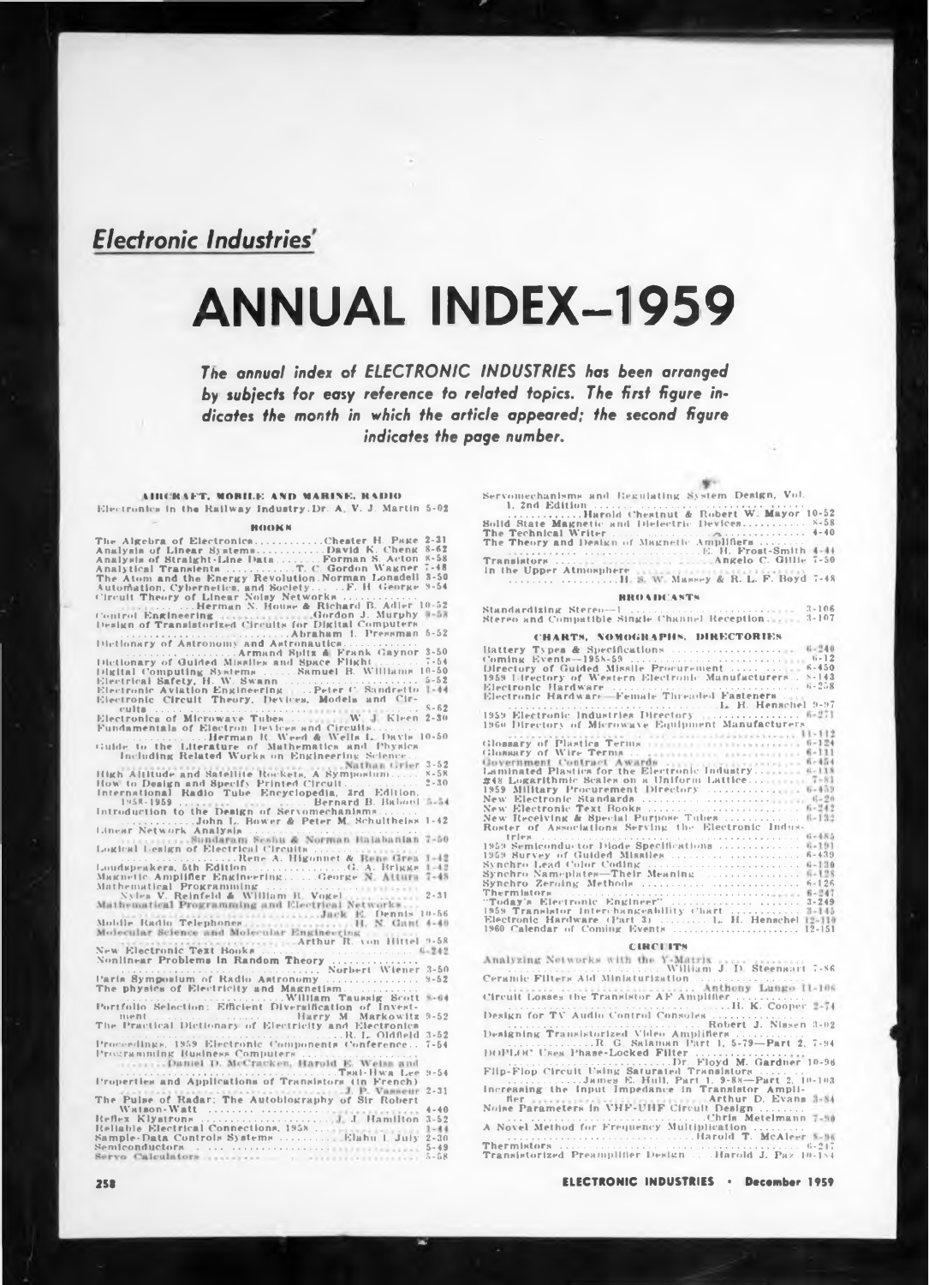# *Electronic Industries*

# **ANNUAL INDEX-1959**

*The annual index of ELECTRONIC INDUSTRIES has been arranged by subjects for easy reference to related topics. The first figure indicates the month in which the article appeared; the second figure indicates the page number.*

**tllKKIFT. MORII.E »ND MARINE. <sup>H</sup> MHO** Electronics in tha Railway Industry.Dr. <sup>A</sup> V. J. Martin 5-02

## **hooks**

| Control Engineering (experiences) Gordon J. Murphy 8-58<br>Design of Transistorized Circuits for Digital Computers                                                  |
|---------------------------------------------------------------------------------------------------------------------------------------------------------------------|
| Dietionary of Astronomy and Astronautica<br>Armand Spitz & Frank Gaynor 3-50                                                                                        |
| Electronic Circuit Theory, Devices, Models and Cir-                                                                                                                 |
| Fundamentals of Electron Devices and Circuits                                                                                                                       |
| Herman R. Weed & Wells L. Davis 10-50<br>Guide to the Literature of Mathematics and Physics Including Related Works on Engineering Science.                         |
|                                                                                                                                                                     |
| High Altitude and Satellite Rockets, A Symposium x-58                                                                                                               |
| $2 - 30$                                                                                                                                                            |
| $3 - 54$                                                                                                                                                            |
| John L. Bower & Peter M. Schulthelas 1-42                                                                                                                           |
| Linear Network Analysis<br>Mundaram Seshu & Norman Halabanian<br>$7 - 50$                                                                                           |
| Logical Lesign of Electrical Circuits<br>Rene A. Higonnet & Rene Grea<br>$1 - 12$                                                                                   |
| Loudspeakers, 5th EditionG. A. Briggs 1-42                                                                                                                          |
| Maknetic Amplifier Engineering George N. Atturn 7-48<br>Mathematical Programming<br>Nylea V. Reinfeld & William R. Vogel                                            |
| $2 - 31$<br>Mathematical Programming and Electrical Networks                                                                                                        |
|                                                                                                                                                                     |
| Mobile Radio Telephones. Jack E. Dennis 10-56<br>Molecular Science and Molecular Engineering . N. Cant 4-40<br>New Strategies Rest Doctor Arthur R. von Hittel 9-58 |
|                                                                                                                                                                     |
|                                                                                                                                                                     |
|                                                                                                                                                                     |
| Paris Symposium of Radio Astronomy<br>$9 - 52$<br>The physics of Electricity and Magnetism                                                                          |
| Portfolio Selection: Efficient Diversification of Invest-<br>$9 - 64$                                                                                               |
|                                                                                                                                                                     |
| ment<br>The Practical Dictionary of Electricity and Electronica                                                                                                     |
| Proceedings, 1959 Electronic Components Conference 7-54                                                                                                             |
|                                                                                                                                                                     |
| $19 - 54$<br>Properties and Applications of Translators (in French)                                                                                                 |
|                                                                                                                                                                     |
|                                                                                                                                                                     |
| Reliable Electrical Connections, 1958<br>Sample-Data Controls Systems  Elahu I July<br>$1 - 44$                                                                     |
| $2 - 30$<br>$5 - 49$                                                                                                                                                |
| $5 - 58$                                                                                                                                                            |

| Servomechanisms and Regulating System Design, Vol.                                               |
|--------------------------------------------------------------------------------------------------|
| Harold Chestnut & Robert W. Mayor 10-52                                                          |
| Solid State Magnetic and Dielectric Devices 8-58                                                 |
|                                                                                                  |
| The Theory and Design of Magnetic Amplifiers                                                     |
|                                                                                                  |
|                                                                                                  |
| In the Upper Atmosphere satisfacturers contract contract<br>H. S. W. Massey & R. L. F. Boyd 7-48 |
| <b>RROADCASTS</b>                                                                                |
| Stereo and Compatible Single Channel Reception.  3-107                                           |

| The Technical Writer reconstruction of the contract $\mathcal{L}$<br>$9 - 9U$<br>The Theory and Design of Magnetic Amplifiers<br>E. H. Frost-Smith 4-44                                                                                                                                                                                                                                   |
|-------------------------------------------------------------------------------------------------------------------------------------------------------------------------------------------------------------------------------------------------------------------------------------------------------------------------------------------------------------------------------------------|
|                                                                                                                                                                                                                                                                                                                                                                                           |
| In the Upper Atmosphere catalog continuous contract<br>H. S. W. Massey & R. L. F. Boyd 7-48                                                                                                                                                                                                                                                                                               |
| <b>BROADCASTS</b>                                                                                                                                                                                                                                                                                                                                                                         |
| $3 - 106$<br>Standardizing Stereo-1<br>Stereo and Compatible Single Channel Reception<br>$3 - 107$                                                                                                                                                                                                                                                                                        |
| CHARTS, NOMOGRAPHS, DIRECTORIES                                                                                                                                                                                                                                                                                                                                                           |
| Directory of Guided Missile Procurement   6-450<br>1959 Lirectory of Western Electronic Manufacturers 8-143                                                                                                                                                                                                                                                                               |
| 1959 Electronic Industries Directory (E. H. Henschel 9-97)<br>1960 Directory of Microwave Equipment Manufacturers                                                                                                                                                                                                                                                                         |
| $K-118$<br>Laminated Plastics for the Electronic Industry<br>#48 Logarithmic Scales on a Uniform Lattice 7-81<br>1959 Military Procurement Directory  6-453<br>$6 - 949$<br>New Electronic Text Books<br>New Receiving & Special Purpose Tubes  6-132<br>Roster of Associations Serving the Electronic Indus-                                                                             |
| 1959 Semiconductor Diode Specifications  6-191<br>Thermistors (2002) (2003) (2003) (2004) (2014) (2014) (2014) (2014) (2014) (2014) (2014) (2014) (2014) (2014) (2014) (2014) (2014) (2014) (2014) (2014) (2014) (2014) (2014) (2014) (2014) (2014) (2014) (2014) (2014) (2014)<br>1959 Translator Interchangeability Chart  3-145<br>Electronic Hardware (Part 3)  L. H. Henschel 12-110 |

## **CIHCI ITS**

| "Today's Electronic Engineer"  3-249<br>1959 Translator Interchangeability Chart  3-145<br>Electronic Hardware (Part 3)  L. H. Henschel 12-110                              |
|-----------------------------------------------------------------------------------------------------------------------------------------------------------------------------|
| <b>CIRCUITS</b>                                                                                                                                                             |
| Analyzing Networks with the Y-Matrix                                                                                                                                        |
| Ceramic Filters Aid Miniaturization<br>Circuit Losses the Translstor AF Amplifier                                                                                           |
|                                                                                                                                                                             |
| Designing Transistorized Video Amplifiers<br>R. G. Salaman Part 1, 5-79-Part 2, 7-94<br>DOPLOC Uses Phase-Locked Filter                                                     |
| Flip-Flop Circuit Using Saturated Transistors                                                                                                                               |
| James E. Hull, Part 1, 9-88-Part 2, 10-103<br>Increasing the Input Impedance in Transistor Ampli-<br>Her Arthur D. Evans 3-84<br>Noise Parameters in VHF-UHF Circuit Design |
| A Novel Method for Frequency Multiplication                                                                                                                                 |
| Harold T. McAleer 5-96<br>Transistorized Preamplifier Design Harold J. Paz 10-184                                                                                           |
| <b>ELECTRONIC INDUSTRIES · December 1959</b>                                                                                                                                |

**2SB ELECTRONIC INDUSTRIES \* December 1959**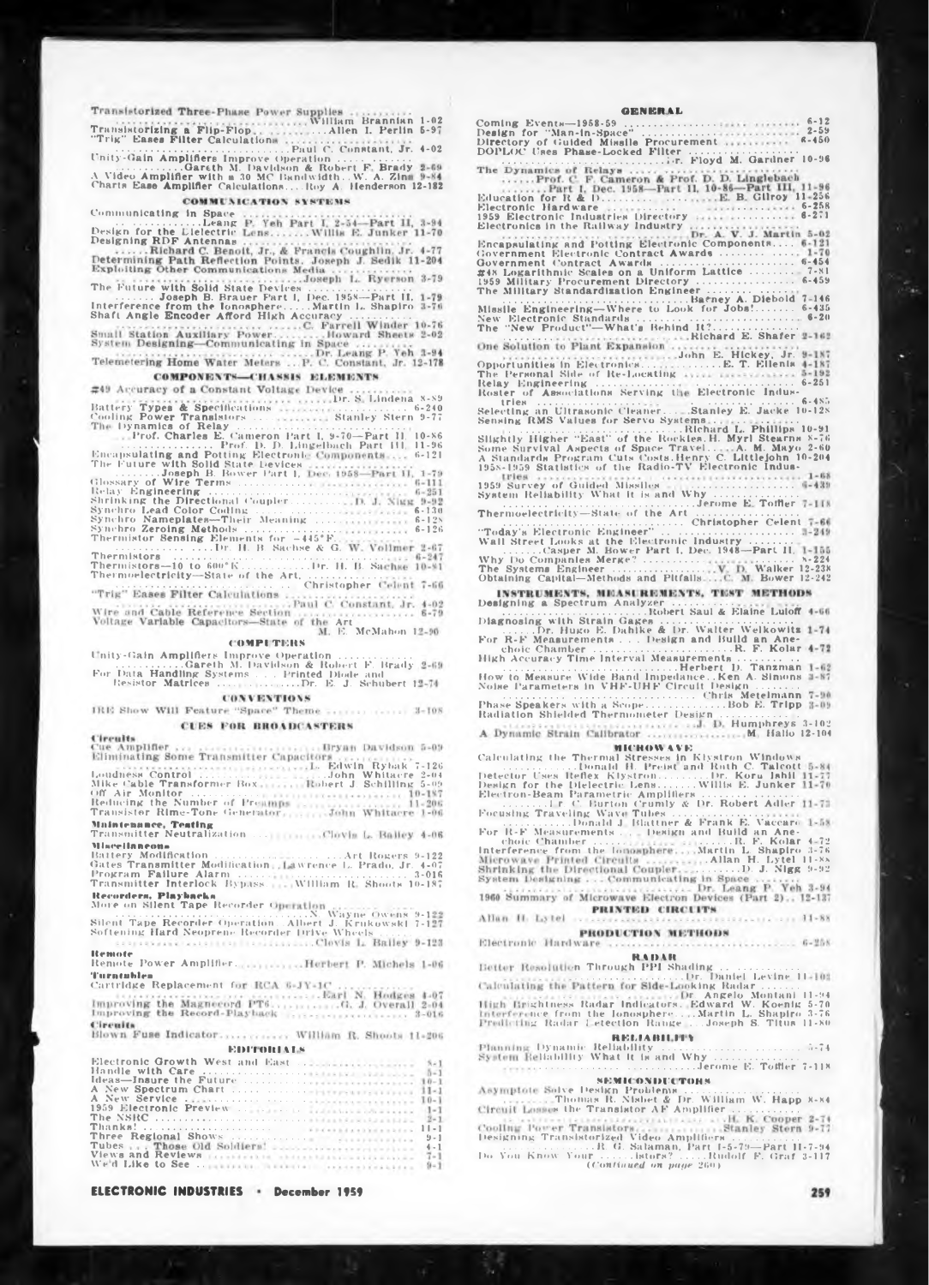William Brannian 1-02

4-02 5-9" . . .Allen I. Perlin Transistorizing a Flip-Flop "Trig" Eases Filter Calculation: ..................................................................Paul C. Constant. Jr. Unity-Gain Amplifiers Improve Operation........................... \_ ................ Gareth M. Davidson & Robert F Brady <sup>A</sup> Video Amplifier with a <sup>30</sup> MC Bandwidth.. W. A. Zini Charts Ease Amplifier Calculations.... Roy A, Henderson 12-182

Communicating in Space ......................Leang Design for the Dielectric Designing RDF Antennas The Future with Solid State Devices .................. ....Joseph B. Brauer F'art I, Dec. 1958—Part II, Interference from the Ionosphere.........Martin L. Shapiro Shaft Angle Encoder Afford High Accuracy .......................

COMPONENTS-CHASSIS ELEMENTS

Battery Types & Specifications Cooling Power Transistors . . . . Dynamics of Relay ............................................................... Prof. Charles E. Cameron Part I, 9-70—Part II, ..................................... Prof. D. D. Lingelbach Part ill, Dr. S. Lindena 8-89<br>8tanley Stern 9-77

10-86 11-96 6-121 Encapsulating and Potting Electronic The Future with Solid State Devices ......Joseph B. Bower Part 1, Glossary of Wire Terms .........................

| Encapsulating and Potting Electronic Components 6-121      |           |
|------------------------------------------------------------|-----------|
| The Future with Solid State Devices                        |           |
| Joseph B. Bower Part 1, Dec. 1958-Part II, 1-79            |           |
|                                                            | $6 - 111$ |
|                                                            | $6 - 251$ |
| Shrinking the Directional CouplerD. J. Nigg 9-92           |           |
|                                                            | $6 - 130$ |
| Synchro Nameplates-Their Meaning                           | $6 - 12N$ |
| Synchro Zeroing Methods                                    | $6 - 126$ |
| Thermistor Sensing Elements for -445°F.                    |           |
|                                                            |           |
|                                                            |           |
|                                                            |           |
|                                                            |           |
|                                                            |           |
| "Trig" Eases Filter Calculations                           |           |
| The contract of the contract of Paul C. Constant, Jr. 4-02 |           |
| Wire and Cable Reference Section  6-79                     |           |
| Voltage Variable Capacitors-State of the Art               |           |
| THE R. P. LEWIS CO., LANSING MICH.                         |           |

Art E. McMahon <sup>1</sup>

**<sup>&</sup>lt; OMPI THUS**

<sup>&</sup>lt; nity-Gain Amplifiers Improve Operation ........................... ..........................Gareth M. Davidson & Robert F. Brady For Data Handling Systems . . . Printed Diode and Resistor Matrices .............................. Dr. E. J. Schubert <sup>1</sup>

**CONVENTIONS** 

|                       | IRE Show Will Feature "Space" Theme  3-108 |  |
|-----------------------|--------------------------------------------|--|
| the state of the con- | <b>CUES FOR BROADCASTERS</b>               |  |

| Circuits                     |  |                                    |  |  |
|------------------------------|--|------------------------------------|--|--|
| and the property of the con- |  | <b>Britain Advised Association</b> |  |  |

Loudness Control<br>
Loudness Control<br>
Mike Cable Transformer Box<br>
Mike Cable Transformer Box<br>
Mobert J. Schilling 5-09<br>
Cable Air Monitor of Presumps<br>
Transister Heading the Number of Presumps<br>
Mikere 1-200<br>
Mikere 1-06<br>
Mik ..................Art Rogers 9-122 twrence L. Prado, Jr. 4-07 ........................................... 3-016 William R Shoots 10-187 Transmitter Neutralization . . . **MlNcellnuenu»** Battery Modification<br>Gates Transmitter Modification<br>Program Failure Alarm .......<br>Transmitter Interlock Bypass.

**Herarders. Playbacks** More on Silent Tape Recorder <sup>&</sup>lt;

..........................................................................N. Wayne Owens 9-1 Silent Tape Recorder Operation.. Albert J. Krukowski 7-1 Softening Hard Neoprene Recorder Drive Wheels...........

**Remote** Remote Power Amplifier.

.<br>Cartridg<mark>e Repla</mark>cement fo

Circuits<br>Blown Fuse Indicator............. William R. Shoots 11-206

|  |  | <b>EDITORIALS</b> |  |
|--|--|-------------------|--|
|  |  |                   |  |
|  |  |                   |  |
|  |  |                   |  |
|  |  |                   |  |
|  |  |                   |  |
|  |  |                   |  |
|  |  |                   |  |
|  |  |                   |  |
|  |  |                   |  |
|  |  |                   |  |
|  |  |                   |  |
|  |  |                   |  |

**ELECTRONIC INDUSTRIES <b>December** 1959

 $6 - 12$ <br>  $2 - 59$ <br>  $6 - 450$  $7 - 146$ <br>6 - 435<br>6 - 20 <>-454 7-81 6-459 Education for R & I)................................ Electronic Hardware . .... 1959 Electronic Industries Directory Electronics in the Railway Industry Why Do Companies Merge?...................... The Systems Engineer .................................. Obtaining Capital—Methods and Pitfalls B. Gilroy 11-256<br>6-258<br>6-271 .............. 8-224 Walker 12-238 Bower 12-242 "Today's Electronic Engineer" .................................................. Wall Street Looks at the Electronic Industry ................ ..............Casper M. Bower Part I, Dec. 1948—Part II, Opportunities in Electronics... The Personal Side of Re-Locating Relay Engineering<br>
Read Engineering<br>
Read Engineering<br>
Read Interactions Serving the Electronic Indus-<br>
Sensing RMS Values for Servo Systems<br>
Sensing RMS Values for Servo Systems<br>
Read L. Phillips 10-91<br>
Signify Higher "Ea John E. Hickey, Jr. Encapsulating and Potting Electronic Components...<br>Government Electronic Contract Awards<br>Government Contract Awards<br>2348 Logarithnic Scales on a Uniform Lattice<br>1959 Military Procurement Directory .........<br>1959 Military S .................. . . . Richard E. Shafer DOPLOC Uses Phase-Locked Filter ......................................... " ...............................................................Dr. Floyd M. Gardner 10-96 .................................... 6-251 Electronic Indus ....................................... 6-485 Stanley E. Jacke 10-128 <sup>1959</sup> Survey of Guided Missiles ...................................... <sup>&</sup>lt; System Reliability What it is and Why ................................ ...............................................................Jerome <sup>E</sup> Toftler ' Thermoelectricity—Stat«- of the Art ....................................... .......................................................... Christopher Celent **GKNKn kb** Coming Events—1958-59 .................................. Design for "Man-in-Space" ............................ Directory of Guided Missile Procurement

Humphreys 3-102 M Hallo 12-104 Designing a Spectrum Analyzer....................... .............................................Robert Saul & Elaine Lulotf Diagnosing with Strain Gages .................................................. ..Dr. Hugo E. Dahlke & Dr. Walter Welkowitz For R-F Measurements . . . Design and Build an Ane-choic Chamber ............................................ R. F. Kolar High Accuracy Time Interval Measurements....................... .........................................................Herbert D. Tanzman How to Measure Wide Band Impedance.. Ken A. Simons Noise Parameters in VHF-UHF Circuit Design................ ......................................................................... Chris Meteimann Phase Speakers with a Scope...............................Bob E. Tripp Radiation Shielded Thermometer Design.............................

### **niC'RHW 4VK**

Calculating the Thermal Stresses in Klystron Windows<br>Detector Uses Refex Klystron.......Dr. Kora Ishil<br>Design for the Dielectric Lens.......Willis E. Junker<br>Design for the Dielectric Lens.......Willis E. Junker<br>Electron-Be Tubes.................................. Blattner A Frank E. Vaccaro Design and Build an Ane-Focusing Traveling Wave Tubes<br>
For R-F Measurements ... Donald J. Battner & Frank E. Vaccare<br>
thole Chamber ... In E. Kolar 4-72<br>
the chamber ... In E. Kolar 4-72<br>
Interference from the longsphere ... Martin L. Shapiro 3-7 PRINTED CIRCUITS **SECURED 11-88** Allan II. Lytel ... PRODUCTION METHODS Electronic Hardware ............ 6-258

**<sup>r</sup> tn tit** m Through PPI Shading ............................. ........................................Dr. Daniel Levine <sup>11</sup>

iking Radar .............. r. Angelo Montani 11-94 Edward W. Koenig 5-70 .Martin L. Shapiro 3-76 ...Joseph S. Titus 11-80 Ightness Radar Indicators, nee from the Ionosphere., ig Radar <sup>I</sup> election Range

# **REMABII II»** Dynamic Reliability .................................................... 5-74 »liability What it is and Why ................................ ............................................................Jerome E. Toffler 7-118

**8EMK ONUUC TOHS** >lve Design Problems ........................................... Thomas R. Nisbet & Dr. William W. Happ X-84 s the Transistor AF Amplifier.........................

Designing Translatorized Video Amplifiers<br>
........R. G. Salaman, Part I-5-79—Part II-7-9<br>Do You Know Your ......lators? .....Rudolf F. Graf 3-11<br>
(Configuration page 260)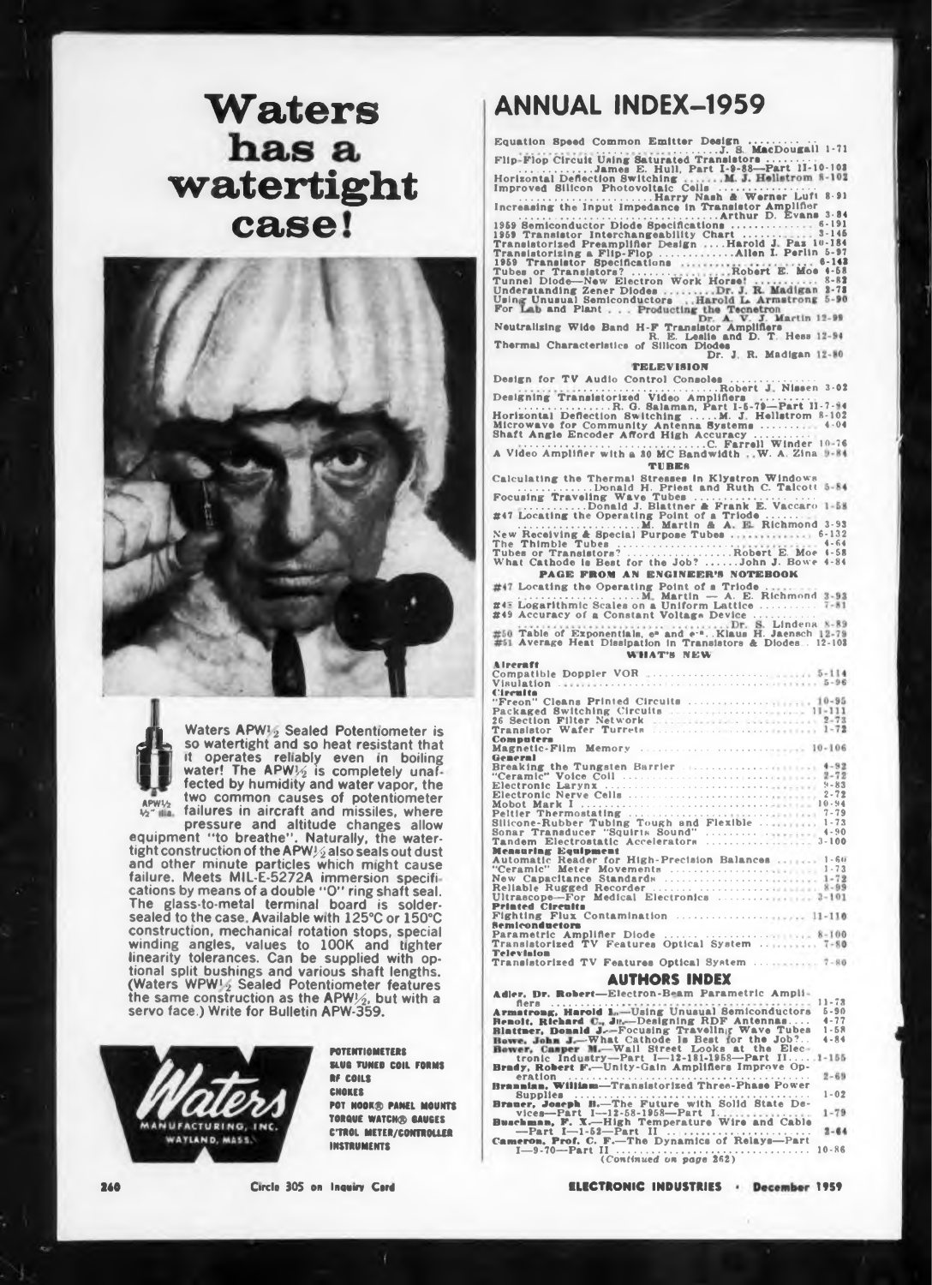# **Waters** has a watertight case!



Waters APW12 Sealed Potentiometer is so watertight and so heat resistant that It operates reliably even in boiling<br>water! The APW!/2 is completely unaffected by humidity and water vapor, the

two common causes of potentiometer failures in aircraft and missiles, where  $\frac{1}{2}$  may pressure and altitude changes allow<br>equipment "to breathe". Naturally, the water-<br>tight construction of the APW $\frac{1}{2}$  also seals out dust and other minute particles which might cause failure. Meets MIL-E-5272A immersion specifications by means of a double "O" ring shaft seal. The glass-to-metal terminal board is soldersealed to the case. Available with 125°C or 150°C construction, mechanical rotation stops, special winding angles, values to 100K and tighter linearity tolerances. Can be supplied with op-

tional split bushings and various shaft lengths. (Waters WPW!, Sealed Potentiometer features the same construction as the APW1/2, but with a servo face.) Write for Bulletin APW-359.



**POTENTIOMETERS** SLUG TIMER COIL FORMS **RF COILS CHOKES** POT HOOK® PANEL MOUNTS TORQUE WATCHO GAUGES C'TROL METER/CONTROLLER **INSTRUMENTS** 

# **ANNUAL INDEX-1959**

Designing Translatorized Video Amplifiers ... Rissen 3-02<br>
Horizontal Deflection Switching ..., H. B. Salaman, Part 1-5-79-Part 11-7-94<br>
Horizontal Deflection Switching ..., M. J. Hellstrom 8-102<br>
Microwave for Community A

| A Video Amplifier with a 30 MC Bandwidth W. A. Zina 9-84<br>TURES                               |
|-------------------------------------------------------------------------------------------------|
| Calculating the Thermal Stresses in Klystron Windows                                            |
| Donald H. Priest and Ruth C. Talcott 5-84                                                       |
| Focusing Traveling Wave Tubes<br>Donald J. Blattner & Frank E. Vaccaro 1-58                     |
| #47 Locating the Operating Point of a Triode                                                    |
|                                                                                                 |
| New Receiving & Special Purpose Tubes  6-132                                                    |
| The Thimble Tubes<br>$4 - 64$                                                                   |
| Tubes or Translators? Robert E. Moe 4-58<br>What Cathode is Best for the Job? John J. Bowe 4-84 |
|                                                                                                 |
| <b>PAGE FROM AN ENGINEER'S NOTEBOOK</b>                                                         |
| #47 Locating the Operating Point of a Triode                                                    |
|                                                                                                 |
| #48 Logarithmic Scales on a Uniform Lattice  7-81<br>#49 Accuracy of a Constant Voltage Device  |
|                                                                                                 |
| #50 Table of Exponentials, e" and e-". Klaus H. Jaensch 12-79                                   |
| #51 Average Heat Dissipation in Translators & Diodes . 12-103                                   |
| WHAT'S NEW                                                                                      |
| <b>Alreraft</b>                                                                                 |
|                                                                                                 |
| Visulation <i>intervention</i> continuous continuous 5-96                                       |
| <b>Cleculta</b>                                                                                 |
|                                                                                                 |
|                                                                                                 |
|                                                                                                 |
| Computers                                                                                       |
|                                                                                                 |
| General<br>Breaking the Tungsten Barrier  4-92                                                  |
|                                                                                                 |
| $9 - 83$                                                                                        |
| $2 - 72$                                                                                        |
|                                                                                                 |
|                                                                                                 |
|                                                                                                 |
|                                                                                                 |
| <b>Measuring Equipment</b>                                                                      |
| Automatic Reader for High-Precision Balances  1-60                                              |
|                                                                                                 |
| New Capacitance Standards  1-72                                                                 |
|                                                                                                 |
| Ultrascope-For Medical Electronics  2-101                                                       |
| <b>Printed Circuits</b><br>Fighting Flux Contamination  11-110                                  |
| Semiconductors                                                                                  |
|                                                                                                 |
|                                                                                                 |
| <b>Television</b>                                                                               |
|                                                                                                 |

|                                               | A 11 REAGAN A SAIR PM |  |                                               |  |
|-----------------------------------------------|-----------------------|--|-----------------------------------------------|--|
| insistorized TV Features Optical System  7-80 |                       |  |                                               |  |
| evision                                       |                       |  | insistorized TV Features Optical System  7-80 |  |

### **AUTHORS INDEX**

Adler, Dr. Robert-Electron-Beam Parametric Ampli-

Adler, Dr. Hohert-Electron-Beam Parametric Ampli-<br>
Armattrag, Harold 1., Using Unuau<br>
Renolt, Richard C. Jr.-Designing RDF Antennas....<br>
Renolt, Richard C. Jr.-Designing RDF Antennas...<br>
Howe, John J.--Whil Street Looks at  $\begin{array}{r} 11 - 73 \\ 5 - 90 \\ 4 - 77 \\ 1 - 58 \end{array}$  $4 - 84$  $\frac{1}{0}$ . 1-155  $2 - 69$ eration<br>**nnian, William—Transistorized Three-Phase Power Brannian**,  $1.02$  $1 - 79$  $2 - 64$  $10 - 86$ 

### 240

Circle 305 on Inquiry Card

**ELECTRONIC INDUSTRIES - December 1959**